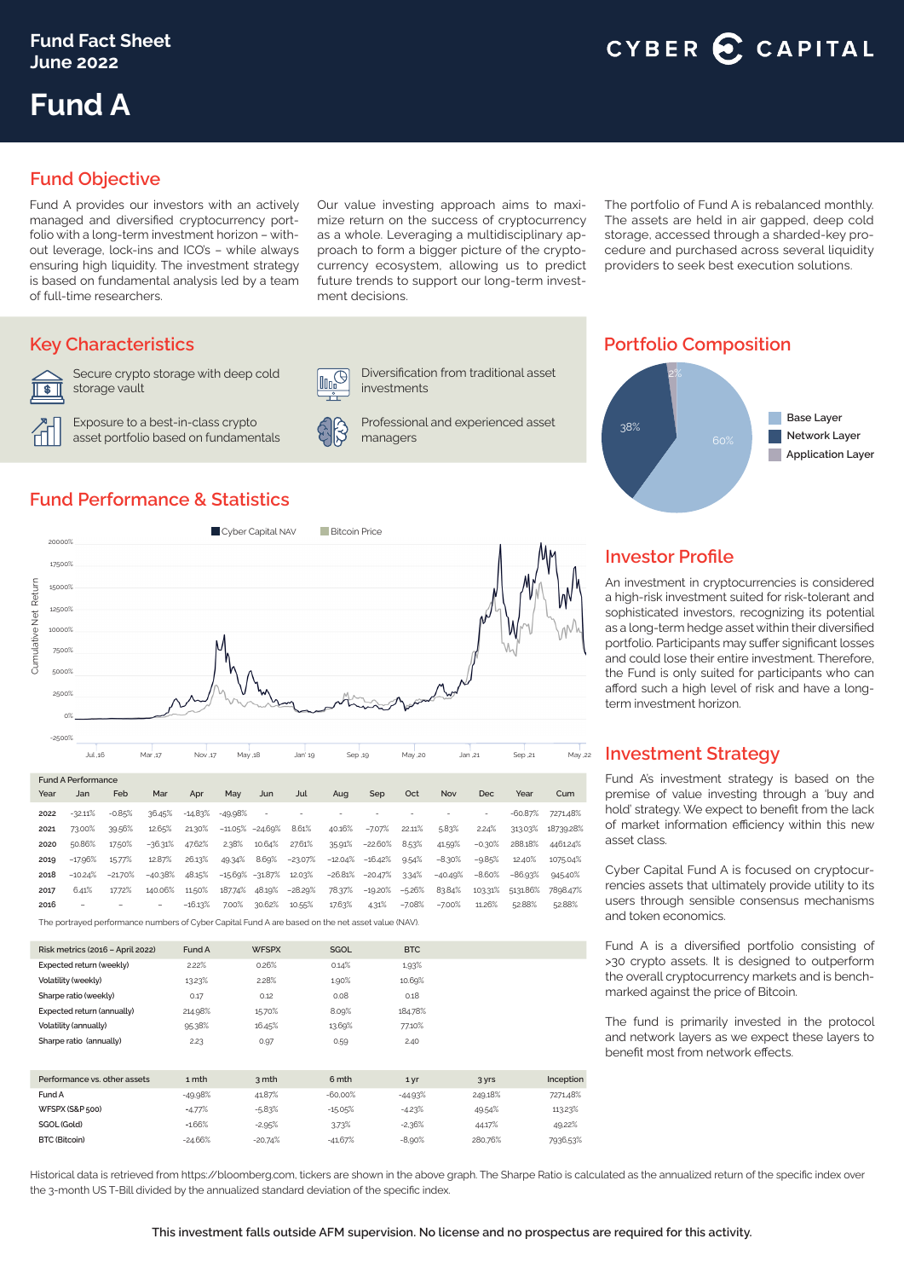## CYBER C CAPITAL

# **Fund A**

## **Fund Objective**

Fund A provides our investors with an actively managed and diversified cryptocurrency portfolio with a long-term investment horizon – without leverage, lock-ins and ICO's – while always ensuring high liquidity. The investment strategy is based on fundamental analysis led by a team of full-time researchers.

Our value investing approach aims to maximize return on the success of cryptocurrency as a whole. Leveraging a multidisciplinary approach to form a bigger picture of the cryptocurrency ecosystem, allowing us to predict future trends to support our long-term investment decisions.

The portfolio of Fund A is rebalanced monthly. The assets are held in air gapped, deep cold storage, accessed through a sharded-key procedure and purchased across several liquidity providers to seek best execution solutions.



Secure crypto storage with deep cold storage vault

Exposure to a best-in-class crypto asset portfolio based on fundamentals





investments

Professional and experienced asset managers

Diversification from traditional asset

## **Key Characteristics Portfolio Composition**



## **Fund Performance & Statistics**



|                                                                                                   | Jul .16   |           | Mar ,17                  | Nov .17   |         | May .18             |           | Sep .19   |                     | May ,20  | Jan ,21    |          | Sep ,21   | May ,22   |
|---------------------------------------------------------------------------------------------------|-----------|-----------|--------------------------|-----------|---------|---------------------|-----------|-----------|---------------------|----------|------------|----------|-----------|-----------|
| <b>Fund A Performance</b>                                                                         |           |           |                          |           |         |                     |           |           |                     |          |            |          |           |           |
| Year                                                                                              | Jan       | Feb       | Mar                      | Apr       | May     | Jun                 | Jul       | Aug       | Sep                 | Oct      | <b>Nov</b> | Dec      | Year      | Cum       |
| 2022                                                                                              | $-32.11%$ | $-0.85%$  | 36.45%                   | $-14.83%$ | -49.98% | ٠                   | ۰         |           | ۰                   |          |            | $\sim$   | $-60.87%$ | 7271,48%  |
| 2021                                                                                              | 73.00%    | 39.56%    | 12.65%                   | 21.30%    |         | $-11.05\% -24.69\%$ | 8.61%     | 40.16%    | $-7.07%$            | 22.11%   | 5.83%      | 2.24%    | 313.03%   | 18739.28% |
| 2020                                                                                              | 50.86%    | 17.50%    | $-36.31%$                | 47.62%    | 2.38%   | 10.64%              | 27.61%    | 35.91%    | $-22.60%$           | 8.53%    | 41.59%     | $-0.30%$ | 288.18%   | 4461.24%  |
| 2019                                                                                              | $-17.96%$ | 15.77%    | 12.87%                   | 26.13%    | 49.34%  | 8.69%               | $-23.07%$ | $-12.04%$ | $-16.42%$           | 9.54%    | $-8.30%$   | $-9.85%$ | 12.40%    | 1075.04%  |
| 2018                                                                                              | $-10.24%$ | $-21.70%$ | $-40.38%$                | 48.15%    |         | $-15.69\% -31.87\%$ | 12.03%    |           | $-26.81\% -20.47\%$ | 3.34%    | $-40.49%$  | $-8.60%$ | $-86.93%$ | 945.40%   |
| 2017                                                                                              | 6.41%     | 17.72%    | 140.06%                  | 11.50%    | 187.74% | 48.19%              | $-28.29%$ | 78.37%    | $-19.20%$           | $-5.26%$ | 83.84%     | 103.31%  | 5131.86%  | 7898.47%  |
| 2016                                                                                              | -         |           | $\overline{\phantom{a}}$ | $-16.13%$ | 7.00%   | 30.62%              | 10.55%    | 17.63%    | 4.31%               | $-7.08%$ | $-7.00%$   | 11.26%   | 52.88%    | 52.88%    |
| The portraved performance numbers of Cyber Capital Fund A are based on the net asset value (NAV). |           |           |                          |           |         |                     |           |           |                     |          |            |          |           |           |

| Risk metrics (2016 - April 2022) | Fund A    | <b>WFSPX</b> | <b>SGOL</b> | <b>BTC</b> |         |           |
|----------------------------------|-----------|--------------|-------------|------------|---------|-----------|
| Expected return (weekly)         | 2.22%     | 0.26%        | 0.14%       | 1,93%      |         |           |
| Volatility (weekly)              | 1323%     | 2.28%        | 1.90%       | 10.69%     |         |           |
| Sharpe ratio (weekly)            | 0.17      | 0.12         | 0.08        | 0.18       |         |           |
| Expected return (annually)       | 214.98%   | 15.70%       | 8.09%       | 184.78%    |         |           |
| Volatility (annually)            | 95.38%    | 16.45%       | 13.69%      | 77.10%     |         |           |
| Sharpe ratio (annually)          | 2.23      | 0.97         | 0.59        | 2.40       |         |           |
|                                  |           |              |             |            |         |           |
| Performance vs. other assets     | 1 mth     | 3 mth        | 6 mth       | 1 yr       | 3 yrs   | Inception |
| Fund A                           | $-49.98%$ | 41,87%       | $-60.00%$   | $-44.93%$  | 249,18% | 7271,48%  |
| WFSPX (S&P 500)                  | $-4.77%$  | $-5.83%$     | $-15.05%$   | $-4.23%$   | 49.54%  | 113.23%   |
| SGOL (Gold)                      | $-1.66%$  | $-2,95%$     | 3.73%       | $-2,36%$   | 44.17%  | 49.22%    |
| <b>BTC (Bitcoin)</b>             | $-24.66%$ | $-20.74%$    | $-41,67%$   | $-8,90%$   | 280.76% | 7936,53%  |

## **Investor Profile**

An investment in cryptocurrencies is considered a high-risk investment suited for risk-tolerant and sophisticated investors, recognizing its potential as a long-term hedge asset within their diversified portfolio. Participants may suffer significant losses and could lose their entire investment. Therefore, the Fund is only suited for participants who can afford such a high level of risk and have a longterm investment horizon.

### **Investment Strategy**

Fund A's investment strategy is based on the premise of value investing through a 'buy and hold' strategy. We expect to benefit from the lack of market information efficiency within this new asset class.

Cyber Capital Fund A is focused on cryptocurrencies assets that ultimately provide utility to its users through sensible consensus mechanisms and token economics.

Fund A is a diversified portfolio consisting of >30 crypto assets. It is designed to outperform the overall cryptocurrency markets and is benchmarked against the price of Bitcoin.

The fund is primarily invested in the protocol and network layers as we expect these layers to benefit most from network effects.

Historical data is retrieved from https://bloomberg.com, tickers are shown in the above graph. The Sharpe Ratio is calculated as the annualized return of the specific index over the 3-month US T-Bill divided by the annualized standard deviation of the specific index.